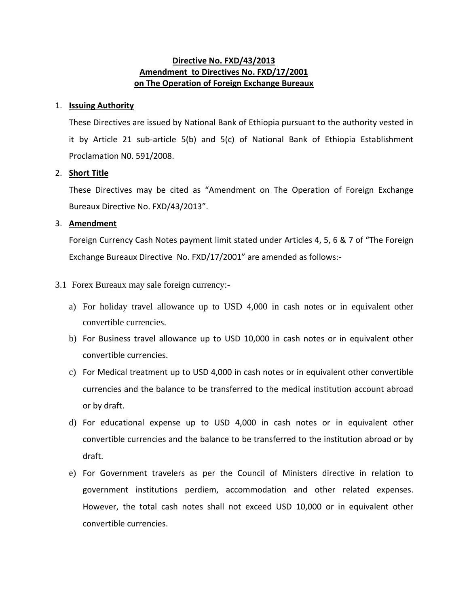## **Directive No. FXD/43/2013 Amendment to Directives No. FXD/17/2001 on The Operation of Foreign Exchange Bureaux**

### 1. **Issuing Authority**

These Directives are issued by National Bank of Ethiopia pursuant to the authority vested in it by Article 21 sub-article 5(b) and 5(c) of National Bank of Ethiopia Establishment Proclamation N0. 591/2008.

#### 2. **Short Title**

These Directives may be cited as "Amendment on The Operation of Foreign Exchange Bureaux Directive No. FXD/43/2013".

#### 3. **Amendment**

Foreign Currency Cash Notes payment limit stated under Articles 4, 5, 6 & 7 of "The Foreign Exchange Bureaux Directive No. FXD/17/2001" are amended as follows:-

### 3.1 Forex Bureaux may sale foreign currency:-

- a) For holiday travel allowance up to USD 4,000 in cash notes or in equivalent other convertible currencies.
- b) For Business travel allowance up to USD 10,000 in cash notes or in equivalent other convertible currencies.
- c) For Medical treatment up to USD 4,000 in cash notes or in equivalent other convertible currencies and the balance to be transferred to the medical institution account abroad or by draft.
- d) For educational expense up to USD 4,000 in cash notes or in equivalent other convertible currencies and the balance to be transferred to the institution abroad or by draft.
- e) For Government travelers as per the Council of Ministers directive in relation to government institutions perdiem, accommodation and other related expenses. However, the total cash notes shall not exceed USD 10,000 or in equivalent other convertible currencies.